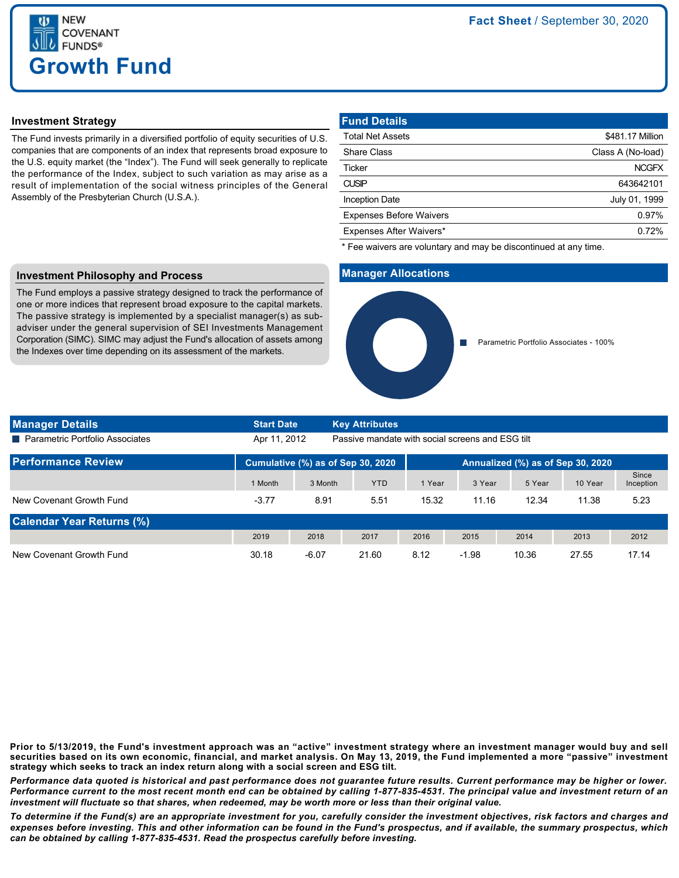

## **Investment Strategy**

The Fund invests primarily in a diversified portfolio of equity securities of U.S. companies that are components of an index that represents broad exposure to the U.S. equity market (the "Index"). The Fund will seek generally to replicate the performance of the Index, subject to such variation as may arise as a result of implementation of the social witness principles of the General Assembly of the Presbyterian Church (U.S.A.).

| \$481.17 Million  |
|-------------------|
| Class A (No-load) |
| <b>NCGFX</b>      |
| 643642101         |
| July 01, 1999     |
| 0.97%             |
| 0.72%             |
|                   |

\* Fee waivers are voluntary and may be discontinued at any time.

### **Manager Allocations**



## **Investment Philosophy and Process**

The Fund employs a passive strategy designed to track the performance of one or more indices that represent broad exposure to the capital markets. The passive strategy is implemented by a specialist manager(s) as subadviser under the general supervision of SEI Investments Management Corporation (SIMC). SIMC may adjust the Fund's allocation of assets among the Indexes over time depending on its assessment of the markets.

| <b>Manager Details</b>            | <b>Start Date</b>                 |         | <b>Key Attributes</b>                            |                                   |         |        |         |                    |
|-----------------------------------|-----------------------------------|---------|--------------------------------------------------|-----------------------------------|---------|--------|---------|--------------------|
| ■ Parametric Portfolio Associates | Apr 11, 2012                      |         | Passive mandate with social screens and ESG tilt |                                   |         |        |         |                    |
| <b>Performance Review</b>         | Cumulative (%) as of Sep 30, 2020 |         |                                                  | Annualized (%) as of Sep 30, 2020 |         |        |         |                    |
|                                   | 1 Month                           | 3 Month | <b>YTD</b>                                       | 1 Year                            | 3 Year  | 5 Year | 10 Year | Since<br>Inception |
| New Covenant Growth Fund          | $-3.77$                           | 8.91    | 5.51                                             | 15.32                             | 11.16   | 12.34  | 11.38   | 5.23               |
| <b>Calendar Year Returns (%)</b>  |                                   |         |                                                  |                                   |         |        |         |                    |
|                                   | 2019                              | 2018    | 2017                                             | 2016                              | 2015    | 2014   | 2013    | 2012               |
| New Covenant Growth Fund          | 30.18                             | $-6.07$ | 21.60                                            | 8.12                              | $-1.98$ | 10.36  | 27.55   | 17.14              |

**Prior to 5/13/2019, the Fund's investment approach was an "active" investment strategy where an investment manager would buy and sell securities based on its own economic, financial, and market analysis. On May 13, 2019, the Fund implemented a more "passive" investment strategy which seeks to track an index return along with a social screen and ESG tilt.**

*Performance data quoted is historical and past performance does not guarantee future results. Current performance may be higher or lower. Performance current to the most recent month end can be obtained by calling 1-877-835-4531. The principal value and investment return of an investment will fluctuate so that shares, when redeemed, may be worth more or less than their original value.*

*To determine if the Fund(s) are an appropriate investment for you, carefully consider the investment objectives, risk factors and charges and expenses before investing. This and other information can be found in the Fund's prospectus, and if available, the summary prospectus, which can be obtained by calling 1-877-835-4531. Read the prospectus carefully before investing.*